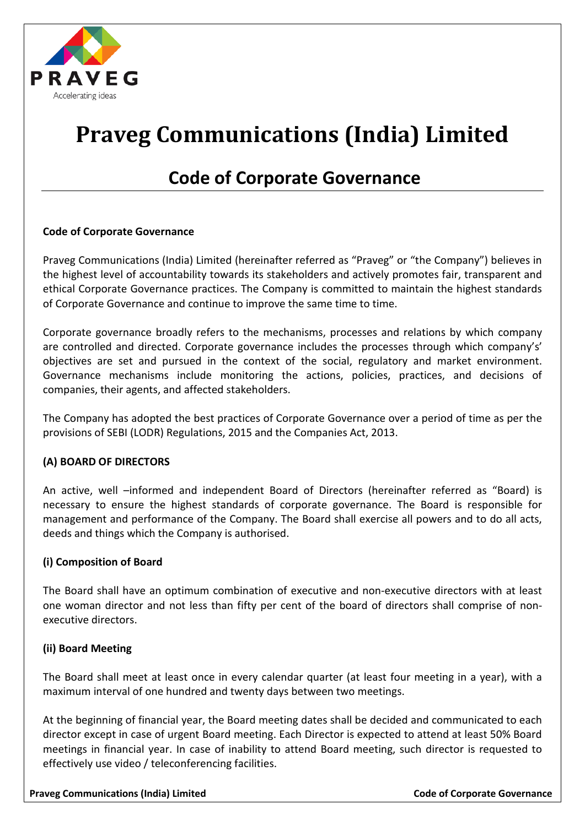

# **Praveg Communications (India) Limited**

# **Code of Corporate Governance**

# **Code of Corporate Governance**

Praveg Communications (India) Limited (hereinafter referred as "Praveg" or "the Company") believes in the highest level of accountability towards its stakeholders and actively promotes fair, transparent and ethical Corporate Governance practices. The Company is committed to maintain the highest standards of Corporate Governance and continue to improve the same time to time.

Corporate governance broadly refers to the mechanisms, processes and relations by which company are controlled and directed. Corporate governance includes the processes through which company's' objectives are set and pursued in the context of the social, regulatory and market environment. Governance mechanisms include monitoring the actions, policies, practices, and decisions of companies, their agents, and affected stakeholders.

The Company has adopted the best practices of Corporate Governance over a period of time as per the provisions of SEBI (LODR) Regulations, 2015 and the Companies Act, 2013.

# **(A) BOARD OF DIRECTORS**

An active, well –informed and independent Board of Directors (hereinafter referred as "Board) is necessary to ensure the highest standards of corporate governance. The Board is responsible for management and performance of the Company. The Board shall exercise all powers and to do all acts, deeds and things which the Company is authorised.

#### **(i) Composition of Board**

The Board shall have an optimum combination of executive and non-executive directors with at least one woman director and not less than fifty per cent of the board of directors shall comprise of nonexecutive directors.

#### **(ii) Board Meeting**

The Board shall meet at least once in every calendar quarter (at least four meeting in a year), with a maximum interval of one hundred and twenty days between two meetings.

At the beginning of financial year, the Board meeting dates shall be decided and communicated to each director except in case of urgent Board meeting. Each Director is expected to attend at least 50% Board meetings in financial year. In case of inability to attend Board meeting, such director is requested to effectively use video / teleconferencing facilities.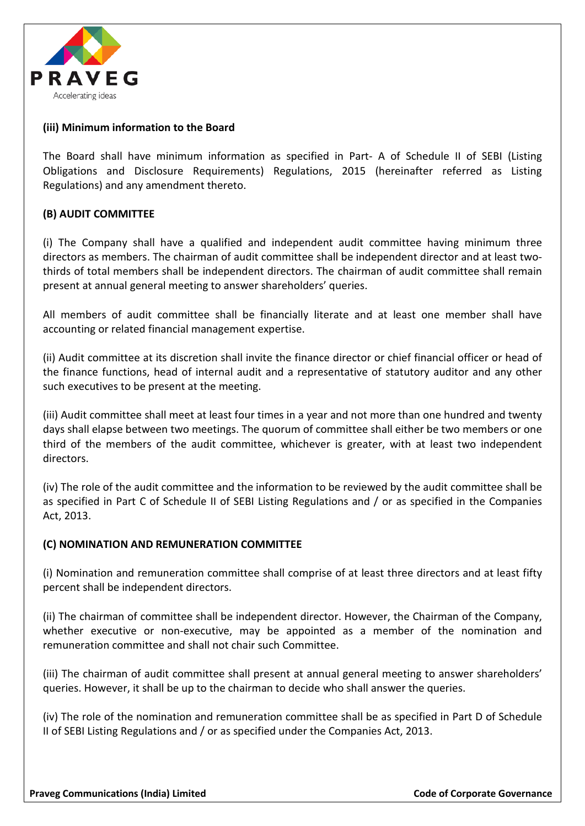

### **(iii) Minimum information to the Board**

The Board shall have minimum information as specified in Part- A of Schedule II of SEBI (Listing Obligations and Disclosure Requirements) Regulations, 2015 (hereinafter referred as Listing Regulations) and any amendment thereto.

#### **(B) AUDIT COMMITTEE**

(i) The Company shall have a qualified and independent audit committee having minimum three directors as members. The chairman of audit committee shall be independent director and at least twothirds of total members shall be independent directors. The chairman of audit committee shall remain present at annual general meeting to answer shareholders' queries.

All members of audit committee shall be financially literate and at least one member shall have accounting or related financial management expertise.

(ii) Audit committee at its discretion shall invite the finance director or chief financial officer or head of the finance functions, head of internal audit and a representative of statutory auditor and any other such executives to be present at the meeting.

(iii) Audit committee shall meet at least four times in a year and not more than one hundred and twenty days shall elapse between two meetings. The quorum of committee shall either be two members or one third of the members of the audit committee, whichever is greater, with at least two independent directors.

(iv) The role of the audit committee and the information to be reviewed by the audit committee shall be as specified in Part C of Schedule II of SEBI Listing Regulations and / or as specified in the Companies Act, 2013.

#### **(C) NOMINATION AND REMUNERATION COMMITTEE**

(i) Nomination and remuneration committee shall comprise of at least three directors and at least fifty percent shall be independent directors.

(ii) The chairman of committee shall be independent director. However, the Chairman of the Company, whether executive or non-executive, may be appointed as a member of the nomination and remuneration committee and shall not chair such Committee.

(iii) The chairman of audit committee shall present at annual general meeting to answer shareholders' queries. However, it shall be up to the chairman to decide who shall answer the queries.

(iv) The role of the nomination and remuneration committee shall be as specified in Part D of Schedule II of SEBI Listing Regulations and / or as specified under the Companies Act, 2013.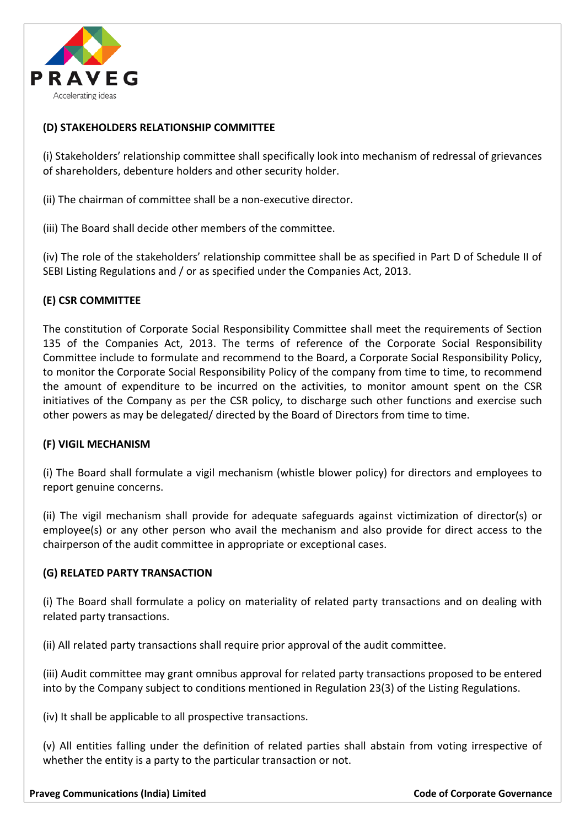

### **(D) STAKEHOLDERS RELATIONSHIP COMMITTEE**

(i) Stakeholders' relationship committee shall specifically look into mechanism of redressal of grievances of shareholders, debenture holders and other security holder.

(ii) The chairman of committee shall be a non-executive director.

(iii) The Board shall decide other members of the committee.

(iv) The role of the stakeholders' relationship committee shall be as specified in Part D of Schedule II of SEBI Listing Regulations and / or as specified under the Companies Act, 2013.

# **(E) CSR COMMITTEE**

The constitution of Corporate Social Responsibility Committee shall meet the requirements of Section 135 of the Companies Act, 2013. The terms of reference of the Corporate Social Responsibility Committee include to formulate and recommend to the Board, a Corporate Social Responsibility Policy, to monitor the Corporate Social Responsibility Policy of the company from time to time, to recommend the amount of expenditure to be incurred on the activities, to monitor amount spent on the CSR initiatives of the Company as per the CSR policy, to discharge such other functions and exercise such other powers as may be delegated/ directed by the Board of Directors from time to time.

#### **(F) VIGIL MECHANISM**

(i) The Board shall formulate a vigil mechanism (whistle blower policy) for directors and employees to report genuine concerns.

(ii) The vigil mechanism shall provide for adequate safeguards against victimization of director(s) or employee(s) or any other person who avail the mechanism and also provide for direct access to the chairperson of the audit committee in appropriate or exceptional cases.

#### **(G) RELATED PARTY TRANSACTION**

(i) The Board shall formulate a policy on materiality of related party transactions and on dealing with related party transactions.

(ii) All related party transactions shall require prior approval of the audit committee.

(iii) Audit committee may grant omnibus approval for related party transactions proposed to be entered into by the Company subject to conditions mentioned in Regulation 23(3) of the Listing Regulations.

(iv) It shall be applicable to all prospective transactions.

(v) All entities falling under the definition of related parties shall abstain from voting irrespective of whether the entity is a party to the particular transaction or not.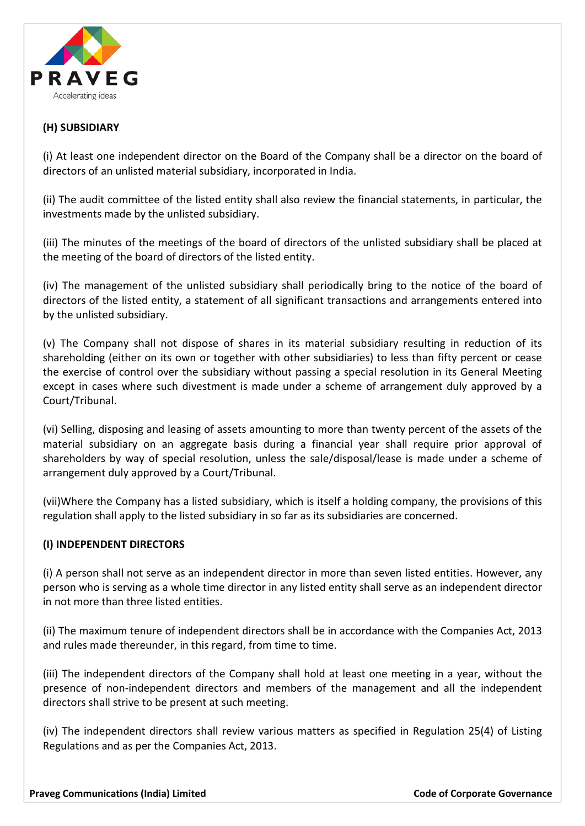

#### **(H) SUBSIDIARY**

(i) At least one independent director on the Board of the Company shall be a director on the board of directors of an unlisted material subsidiary, incorporated in India.

(ii) The audit committee of the listed entity shall also review the financial statements, in particular, the investments made by the unlisted subsidiary.

(iii) The minutes of the meetings of the board of directors of the unlisted subsidiary shall be placed at the meeting of the board of directors of the listed entity.

(iv) The management of the unlisted subsidiary shall periodically bring to the notice of the board of directors of the listed entity, a statement of all significant transactions and arrangements entered into by the unlisted subsidiary.

(v) The Company shall not dispose of shares in its material subsidiary resulting in reduction of its shareholding (either on its own or together with other subsidiaries) to less than fifty percent or cease the exercise of control over the subsidiary without passing a special resolution in its General Meeting except in cases where such divestment is made under a scheme of arrangement duly approved by a Court/Tribunal.

(vi) Selling, disposing and leasing of assets amounting to more than twenty percent of the assets of the material subsidiary on an aggregate basis during a financial year shall require prior approval of shareholders by way of special resolution, unless the sale/disposal/lease is made under a scheme of arrangement duly approved by a Court/Tribunal.

(vii)Where the Company has a listed subsidiary, which is itself a holding company, the provisions of this regulation shall apply to the listed subsidiary in so far as its subsidiaries are concerned.

#### **(I) INDEPENDENT DIRECTORS**

(i) A person shall not serve as an independent director in more than seven listed entities. However, any person who is serving as a whole time director in any listed entity shall serve as an independent director in not more than three listed entities.

(ii) The maximum tenure of independent directors shall be in accordance with the Companies Act, 2013 and rules made thereunder, in this regard, from time to time.

(iii) The independent directors of the Company shall hold at least one meeting in a year, without the presence of non-independent directors and members of the management and all the independent directors shall strive to be present at such meeting.

(iv) The independent directors shall review various matters as specified in Regulation 25(4) of Listing Regulations and as per the Companies Act, 2013.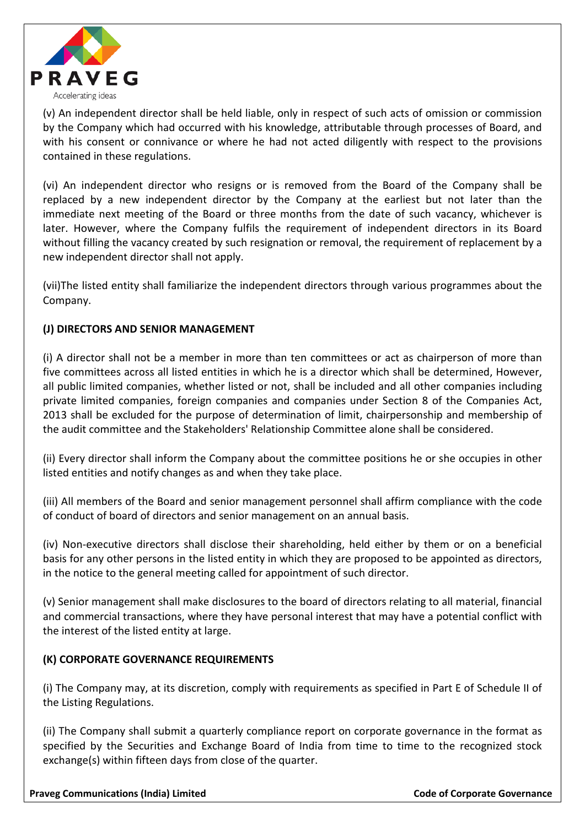

(v) An independent director shall be held liable, only in respect of such acts of omission or commission by the Company which had occurred with his knowledge, attributable through processes of Board, and with his consent or connivance or where he had not acted diligently with respect to the provisions contained in these regulations.

(vi) An independent director who resigns or is removed from the Board of the Company shall be replaced by a new independent director by the Company at the earliest but not later than the immediate next meeting of the Board or three months from the date of such vacancy, whichever is later. However, where the Company fulfils the requirement of independent directors in its Board without filling the vacancy created by such resignation or removal, the requirement of replacement by a new independent director shall not apply.

(vii)The listed entity shall familiarize the independent directors through various programmes about the Company.

# **(J) DIRECTORS AND SENIOR MANAGEMENT**

(i) A director shall not be a member in more than ten committees or act as chairperson of more than five committees across all listed entities in which he is a director which shall be determined, However, all public limited companies, whether listed or not, shall be included and all other companies including private limited companies, foreign companies and companies under Section 8 of the Companies Act, 2013 shall be excluded for the purpose of determination of limit, chairpersonship and membership of the audit committee and the Stakeholders' Relationship Committee alone shall be considered.

(ii) Every director shall inform the Company about the committee positions he or she occupies in other listed entities and notify changes as and when they take place.

(iii) All members of the Board and senior management personnel shall affirm compliance with the code of conduct of board of directors and senior management on an annual basis.

(iv) Non-executive directors shall disclose their shareholding, held either by them or on a beneficial basis for any other persons in the listed entity in which they are proposed to be appointed as directors, in the notice to the general meeting called for appointment of such director.

(v) Senior management shall make disclosures to the board of directors relating to all material, financial and commercial transactions, where they have personal interest that may have a potential conflict with the interest of the listed entity at large.

# **(K) CORPORATE GOVERNANCE REQUIREMENTS**

(i) The Company may, at its discretion, comply with requirements as specified in Part E of Schedule II of the Listing Regulations.

(ii) The Company shall submit a quarterly compliance report on corporate governance in the format as specified by the Securities and Exchange Board of India from time to time to the recognized stock exchange(s) within fifteen days from close of the quarter.